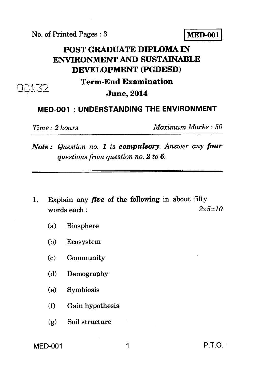No. of Printed Pages : 3 **MED-001** 

# **POST GRADUATE DIPLOMA IN ENVIRONMENT AND SUSTAINABLE DEVELOPMENT (PGDESD) Term-End Examination June, 2014**

## **MED-001 : UNDERSTANDING THE ENVIRONMENT**

 $\Box 13$ 

*Time : 2 hours Maximum Marks : 50* 

*Note : Question no. 1 is compulsory. Answer any four questions from question no. 2 to 6.* 

- 1. Explain any *five* of the following in about fifty words each : *2x5=10* 
	- (a) Biosphere
	- (b) Ecosystem
	- (c) Community
	- (d) Demography
	- (e) Symbiosis
	- (f) Gain hypothesis
	- (g) Soil structure

## MED-001 1 P.T.O.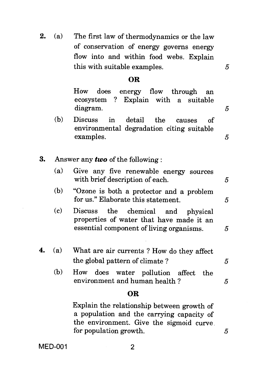**2.** (a) The first law of thermodynamics or the law of conservation of energy governs energy flow into and within food webs. Explain this with suitable examples.

### **OR**

How does energy flow through an ecosystem ? Explain with a suitable diagram.

- (b) Discuss in detail the causes of environmental degradation citing suitable examples.
- **3.** Answer any *two* of the following :

| (a)        | Give any five renewable energy sources<br>with brief description of each. |  |
|------------|---------------------------------------------------------------------------|--|
| $\sqrt{L}$ | $\omega$                                                                  |  |

- (b) "Ozone is both a protector and a problem for us." Elaborate this statement. 5
- (c) Discuss the chemical and physical properties of water that have made it an essential component of living organisms.  $\overline{5}$
- **4.** (a) What are air currents ? How do they affect the global pattern of climate ?  $5$ 
	- (b) How does water pollution affect the environment and human health ?  $5$

### **OR**

Explain the relationship between growth of a population and the carrying capacity of the environment. Give the sigmoid curve for population growth. *5* 

MED-001 2

5

 $\mathcal{F}_{0}$ 

5